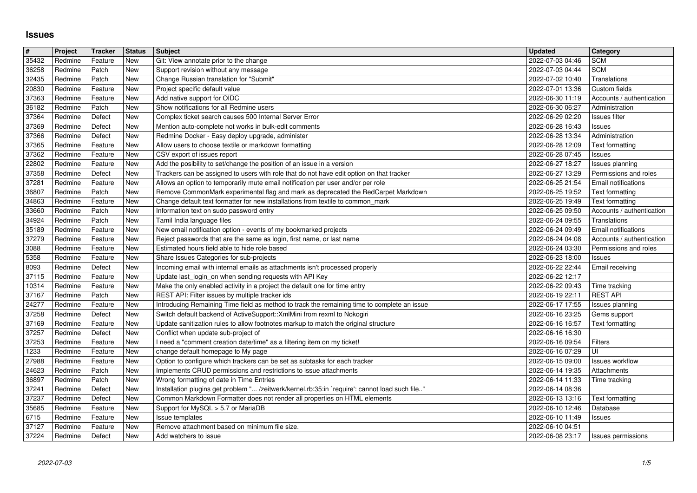## **Issues**

| $\pmb{\#}$     | Project            | Tracker            | <b>Status</b>             | <b>Subject</b>                                                                                                                                                              | <b>Updated</b>                       | <b>Category</b>                            |
|----------------|--------------------|--------------------|---------------------------|-----------------------------------------------------------------------------------------------------------------------------------------------------------------------------|--------------------------------------|--------------------------------------------|
| 35432<br>36258 | Redmine<br>Redmine | Feature<br>Patch   | New<br>New                | Git: View annotate prior to the change<br>Support revision without any message                                                                                              | 2022-07-03 04:46<br>2022-07-03 04:44 | <b>SCM</b><br><b>SCM</b>                   |
| 32435          | Redmine            | Patch              | <b>New</b>                | Change Russian translation for "Submit"                                                                                                                                     | 2022-07-02 10:40                     | Translations                               |
| 20830<br>37363 | Redmine<br>Redmine | Feature<br>Feature | New<br>New                | Project specific default value<br>Add native support for OIDC                                                                                                               | 2022-07-01 13:36<br>2022-06-30 11:19 | Custom fields<br>Accounts / authentication |
| 36182          | Redmine            | Patch              | New                       | Show notifications for all Redmine users                                                                                                                                    | 2022-06-30 06:27                     | Administration                             |
| 37364          | Redmine            | Defect             | New                       | Complex ticket search causes 500 Internal Server Error                                                                                                                      | 2022-06-29 02:20                     | Issues filter                              |
| 37369<br>37366 | Redmine<br>Redmine | Defect<br>Defect   | New<br>New                | Mention auto-complete not works in bulk-edit comments<br>Redmine Docker - Easy deploy upgrade, administer                                                                   | 2022-06-28 16:43<br>2022-06-28 13:34 | Issues<br>Administration                   |
| 37365          | Redmine            | Feature            | New                       | Allow users to choose textile or markdown formatting                                                                                                                        | 2022-06-28 12:09                     | Text formatting                            |
| 37362<br>22802 | Redmine<br>Redmine | Feature<br>Feature | <b>New</b><br><b>New</b>  | CSV export of issues report<br>Add the posibility to set/change the position of an issue in a version                                                                       | 2022-06-28 07:45<br>2022-06-27 18:27 | Issues                                     |
| 37358          | Redmine            | Defect             | New                       | Trackers can be assigned to users with role that do not have edit option on that tracker                                                                                    | 2022-06-27 13:29                     | Issues planning<br>Permissions and roles   |
| 37281          | Redmine            | Feature            | New                       | Allows an option to temporarily mute email notification per user and/or per role                                                                                            | 2022-06-25 21:54                     | Email notifications                        |
| 36807<br>34863 | Redmine<br>Redmine | Patch<br>Feature   | New<br><b>New</b>         | Remove CommonMark experimental flag and mark as deprecated the RedCarpet Markdown<br>Change default text formatter for new installations from textile to common_mark        | 2022-06-25 19:52<br>2022-06-25 19:49 | Text formatting<br>Text formatting         |
| 33660          | Redmine            | Patch              | New                       | Information text on sudo password entry                                                                                                                                     | 2022-06-25 09:50                     | Accounts / authentication                  |
| 34924<br>35189 | Redmine<br>Redmine | Patch<br>Feature   | New<br>New                | Tamil India language files<br>New email notification option - events of my bookmarked projects                                                                              | 2022-06-24 09:55<br>2022-06-24 09:49 | Translations<br><b>Email notifications</b> |
| 37279          | Redmine            | Feature            | New                       | Reject passwords that are the same as login, first name, or last name                                                                                                       | 2022-06-24 04:08                     | Accounts / authentication                  |
| 3088           | Redmine            | Feature            | New                       | Estimated hours field able to hide role based                                                                                                                               | 2022-06-24 03:30                     | Permissions and roles                      |
| 5358<br>8093   | Redmine<br>Redmine | Feature<br>Defect  | New<br>New                | Share Issues Categories for sub-projects<br>Incoming email with internal emails as attachments isn't processed properly                                                     | 2022-06-23 18:00<br>2022-06-22 22:44 | Issues<br>Email receiving                  |
| 37115          | Redmine            | Feature            | New                       | Update last_login_on when sending requests with API Key                                                                                                                     | 2022-06-22 12:17                     |                                            |
| 10314<br>37167 | Redmine<br>Redmine | Feature<br>Patch   | <b>New</b><br>New         | Make the only enabled activity in a project the default one for time entry<br>REST API: Filter issues by multiple tracker ids                                               | 2022-06-22 09:43<br>2022-06-19 22:11 | Time tracking<br><b>REST API</b>           |
| 24277          | Redmine            | Feature            | New                       | Introducing Remaining Time field as method to track the remaining time to complete an issue                                                                                 | 2022-06-17 17:55                     | Issues planning                            |
| 37258          | Redmine            | Defect             | New                       | Switch default backend of ActiveSupport:: XmlMini from rexml to Nokogiri                                                                                                    | 2022-06-16 23:25                     | Gems support                               |
| 37169<br>37257 | Redmine<br>Redmine | Feature<br>Defect  | New<br><b>New</b>         | Update sanitization rules to allow footnotes markup to match the original structure<br>Conflict when update sub-project of                                                  | 2022-06-16 16:57<br>2022-06-16 16:30 | Text formatting                            |
| 37253          | Redmine            | Feature            | New                       | I need a "comment creation date/time" as a filtering item on my ticket!                                                                                                     | 2022-06-16 09:54                     | Filters                                    |
| 1233           | Redmine            | Feature            | New                       | change default homepage to My page                                                                                                                                          | 2022-06-16 07:29                     | UI<br>Issues workflow                      |
| 27988<br>24623 | Redmine<br>Redmine | Feature<br>Patch   | New<br>New                | Option to configure which trackers can be set as subtasks for each tracker<br>Implements CRUD permissions and restrictions to issue attachments                             | 2022-06-15 09:00<br>2022-06-14 19:35 | Attachments                                |
| 36897          | Redmine            | Patch              | New                       | Wrong formatting of date in Time Entries                                                                                                                                    | 2022-06-14 11:33                     | Time tracking                              |
| 37241<br>37237 | Redmine<br>Redmine | Defect<br>Defect   | New<br>New                | Installation plugins get problem " /zeitwerk/kernel.rb:35:in `require': cannot load such file"<br>Common Markdown Formatter does not render all properties on HTML elements | 2022-06-14 08:36<br>2022-06-13 13:16 | Text formatting                            |
| 35685          | Redmine            | Feature            | New                       | Support for MySQL > 5.7 or MariaDB                                                                                                                                          | 2022-06-10 12:46                     | Database                                   |
| 6715           | Redmine            | Feature            | $\overline{\mathsf{New}}$ | Issue templates                                                                                                                                                             | 2022-06-10 11:49                     | <b>Issues</b>                              |
| 37127<br>37224 | Redmine<br>Redmine | Feature<br>Defect  | New<br>New                | Remove attachment based on minimum file size.<br>Add watchers to issue                                                                                                      | 2022-06-10 04:51<br>2022-06-08 23:17 | Issues permissions                         |
|                |                    |                    |                           |                                                                                                                                                                             |                                      |                                            |
|                |                    |                    |                           |                                                                                                                                                                             |                                      |                                            |
|                |                    |                    |                           |                                                                                                                                                                             |                                      |                                            |
|                |                    |                    |                           |                                                                                                                                                                             |                                      |                                            |
|                |                    |                    |                           |                                                                                                                                                                             |                                      |                                            |
|                |                    |                    |                           |                                                                                                                                                                             |                                      |                                            |
|                |                    |                    |                           |                                                                                                                                                                             |                                      |                                            |
|                |                    |                    |                           |                                                                                                                                                                             |                                      |                                            |
|                |                    |                    |                           |                                                                                                                                                                             |                                      |                                            |
|                |                    |                    |                           |                                                                                                                                                                             |                                      |                                            |
|                |                    |                    |                           |                                                                                                                                                                             |                                      |                                            |
|                |                    |                    |                           |                                                                                                                                                                             |                                      |                                            |
|                |                    |                    |                           |                                                                                                                                                                             |                                      |                                            |
|                |                    |                    |                           |                                                                                                                                                                             |                                      |                                            |
|                |                    |                    |                           |                                                                                                                                                                             |                                      |                                            |
|                |                    |                    |                           |                                                                                                                                                                             |                                      |                                            |
|                |                    |                    |                           |                                                                                                                                                                             |                                      |                                            |
|                |                    |                    |                           |                                                                                                                                                                             |                                      |                                            |
|                |                    |                    |                           |                                                                                                                                                                             |                                      |                                            |
|                |                    |                    |                           |                                                                                                                                                                             |                                      |                                            |
|                |                    |                    |                           |                                                                                                                                                                             |                                      |                                            |
|                |                    |                    |                           |                                                                                                                                                                             |                                      |                                            |
|                |                    |                    |                           |                                                                                                                                                                             |                                      |                                            |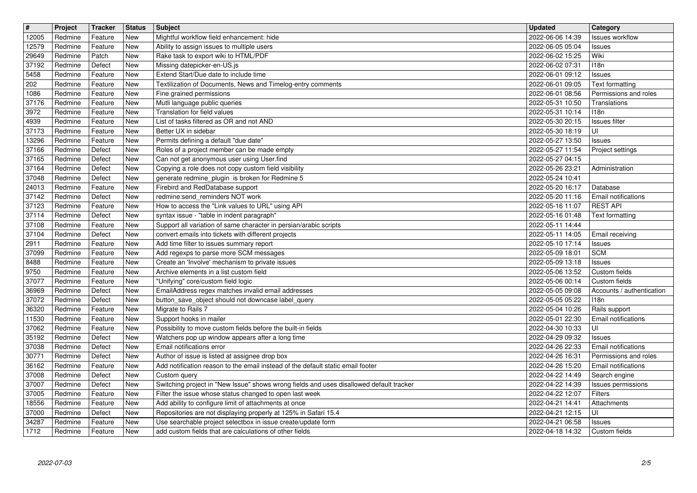| $\overline{\mathbf{H}}$ | Project            | Tracker            | <b>Status</b>     | <b>Subject</b>                                                                                                           | <b>Updated</b>                                 | Category                                     |
|-------------------------|--------------------|--------------------|-------------------|--------------------------------------------------------------------------------------------------------------------------|------------------------------------------------|----------------------------------------------|
| 12005                   | Redmine            | Feature            | New<br>New        | Mightful workflow field enhancement: hide                                                                                | 2022-06-06 14:39                               | <b>Issues workflow</b>                       |
| 12579<br>29649          | Redmine<br>Redmine | Feature<br>Patch   | New               | Ability to assign issues to multiple users<br>Rake task to export wiki to HTML/PDF                                       | 2022-06-05 05:04<br>2022-06-02 15:25           | Issues<br>Wiki                               |
| 37192                   | Redmine            | Defect             | New               | Missing datepicker-en-US.js                                                                                              | 2022-06-02 07:31                               | 118n                                         |
| 5458                    | Redmine            | Feature            | New               | Extend Start/Due date to include time                                                                                    | 2022-06-01 09:12                               | Issues                                       |
| 202                     | Redmine            | Feature            | New               | Textilization of Documents, News and Timelog-entry comments                                                              | 2022-06-01 09:05                               | Text formatting                              |
| 1086<br>37176           | Redmine<br>Redmine | Feature<br>Feature | <b>New</b><br>New | Fine grained permissions<br>Mutli language public queries                                                                | 2022-06-01 08:56<br>2022-05-31 10:50           | Permissions and roles<br>Translations        |
| 3972                    | Redmine            | Feature            | New               | Translation for field values                                                                                             | 2022-05-31 10:14                               | 118n                                         |
| 4939                    | Redmine            | Feature            | New               | List of tasks filtered as OR and not AND                                                                                 | 2022-05-30 20:15                               | <b>Issues</b> filter                         |
| 37173                   | Redmine            | Feature            | New               | Better UX in sidebar                                                                                                     | 2022-05-30 18:19                               | UI                                           |
| 13296<br>37166          | Redmine<br>Redmine | Feature<br>Defect  | New<br>New        | Permits defining a default "due date"<br>Roles of a project member can be made empty                                     | 2022-05-27 13:50<br>2022-05-27 11:54           | Issues<br>Project settings                   |
| 37165                   | Redmine            | Defect             | New               | Can not get anonymous user using User.find                                                                               | 2022-05-27 04:15                               |                                              |
| 37164                   | Redmine            | Defect             | New               | Copying a role does not copy custom field visibility                                                                     | 2022-05-26 23:21                               | Administration                               |
| 37048                   | Redmine            | Defect             | New               | generate redmine_plugin is broken for Redmine 5                                                                          | 2022-05-24 10:41                               |                                              |
| 24013                   | Redmine            | Feature            | New               | Firebird and RedDatabase support<br>redmine:send_reminders NOT work                                                      | 2022-05-20 16:17<br>2022-05-20 11:16           | Database                                     |
| 37142<br>37123          | Redmine<br>Redmine | Defect<br>Feature  | New<br>New        | How to access the "Link values to URL" using API                                                                         | 2022-05-16 11:07                               | Email notifications<br><b>REST API</b>       |
| 37114                   | Redmine            | Defect             | New               | syntax issue - "table in indent paragraph"                                                                               | 2022-05-16 01:48                               | Text formatting                              |
| 37108                   | Redmine            | Feature            | New               | Support all variation of same character in persian/arabic scripts                                                        | 2022-05-11 14:44                               |                                              |
| 37104                   | Redmine            | Defect             | New<br>New        | convert emails into tickets with different projects                                                                      | 2022-05-11 14:05<br>2022-05-10 17:14           | Email receiving                              |
| 2911<br>37099           | Redmine<br>Redmine | Feature<br>Feature | New               | Add time filter to issues summary report<br>Add regexps to parse more SCM messages                                       | 2022-05-09 18:01                               | Issues<br><b>SCM</b>                         |
| 8488                    | Redmine            | Feature            | New               | Create an 'Involve' mechanism to private issues                                                                          | 2022-05-09 13:18                               | Issues                                       |
| 9750                    | Redmine            | Feature            | <b>New</b>        | Archive elements in a list custom field                                                                                  | 2022-05-06 13:52                               | Custom fields                                |
| 37077                   | Redmine            | Feature            | New               | "Unifying" core/custom field logic                                                                                       | 2022-05-06 00:14                               | Custom fields                                |
| 36969<br>37072          | Redmine<br>Redmine | Defect<br>Defect   | New<br>New        | EmailAddress regex matches invalid email addresses<br>button_save_object should not downcase label_query                 | 2022-05-05 09:08<br>2022-05-05 05:22           | Accounts / authentication<br>118n            |
| 36320                   | Redmine            | Feature            | New               | Migrate to Rails 7                                                                                                       | 2022-05-04 10:26                               | Rails support                                |
| 11530                   | Redmine            | Feature            | New               | Support hooks in mailer                                                                                                  | 2022-05-01 22:30                               | Email notifications                          |
| 37062                   | Redmine            | Feature            | <b>New</b>        | Possibility to move custom fields before the built-in fields                                                             | 2022-04-30 10:33                               | UI                                           |
| 35192                   | Redmine            | Defect             | New               | Watchers pop up window appears after a long time                                                                         | 2022-04-29 09:32                               | Issues                                       |
| 37038<br>30771          | Redmine<br>Redmine | Defect<br>Defect   | New<br>New        | Email notifications error<br>Author of issue is listed at assignee drop box                                              | 2022-04-26 22:33<br>2022-04-26 16:31           | Email notifications<br>Permissions and roles |
| 36162                   | Redmine            | Feature            | New               | Add notification reason to the email instead of the default static email footer                                          | 2022-04-26 15:20                               | <b>Email notifications</b>                   |
| 37008                   | Redmine            | Defect             | New               | Custom query                                                                                                             | 2022-04-22 14:49                               | Search engine                                |
| 37007                   | Redmine            | Defect             | New               | Switching project in "New Issue" shows wrong fields and uses disallowed default tracker                                  | 2022-04-22 14:39                               | Issues permissions                           |
| 37005<br>18556          | Redmine<br>Redmine | Feature<br>Feature | New<br>New        | Filter the issue whose status changed to open last week                                                                  | 2022-04-22 12:07   Filters<br>2022-04-21 14:41 | Attachments                                  |
| 37000                   | Redmine            | Defect             | New               | Add ability to configure limit of attachments at once<br>Repositories are not displaying properly at 125% in Safari 15.4 | 2022-04-21 12:15                               | UI                                           |
| 34287                   | Redmine            | Feature            | New               | Use searchable project selectbox in issue create/update form                                                             | 2022-04-21 06:58                               | Issues                                       |
| 1712                    | Redmine            | Feature            | New               | add custom fields that are calculations of other fields                                                                  | 2022-04-18 14:32                               | Custom fields                                |
|                         |                    |                    |                   |                                                                                                                          |                                                |                                              |
|                         |                    |                    |                   |                                                                                                                          |                                                |                                              |
|                         |                    |                    |                   |                                                                                                                          |                                                |                                              |
|                         |                    |                    |                   |                                                                                                                          |                                                |                                              |
|                         |                    |                    |                   |                                                                                                                          |                                                |                                              |
|                         |                    |                    |                   |                                                                                                                          |                                                |                                              |
|                         |                    |                    |                   |                                                                                                                          |                                                |                                              |
|                         |                    |                    |                   |                                                                                                                          |                                                |                                              |
|                         |                    |                    |                   |                                                                                                                          |                                                |                                              |
|                         |                    |                    |                   |                                                                                                                          |                                                |                                              |
|                         |                    |                    |                   |                                                                                                                          |                                                |                                              |
|                         |                    |                    |                   |                                                                                                                          |                                                |                                              |
|                         |                    |                    |                   |                                                                                                                          |                                                |                                              |
|                         |                    |                    |                   |                                                                                                                          |                                                |                                              |
|                         |                    |                    |                   |                                                                                                                          |                                                |                                              |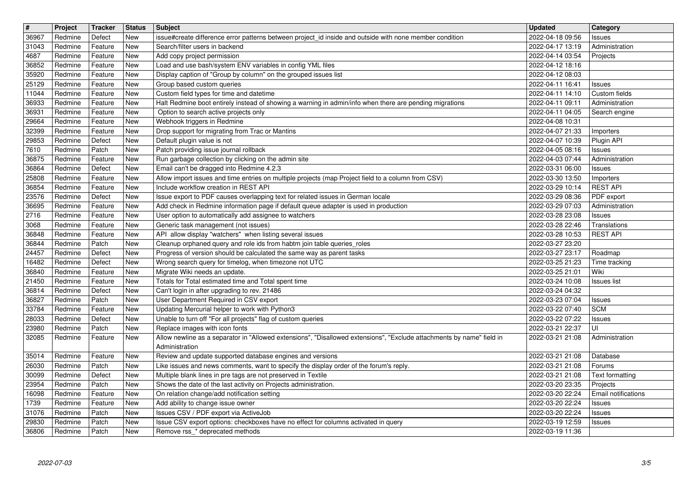| $\boxed{\texttt{#}}$ | Project            | Tracker            | <b>Status</b> | <b>Subject</b>                                                                                                                                                          | Updated                              | <b>Category</b>                 |
|----------------------|--------------------|--------------------|---------------|-------------------------------------------------------------------------------------------------------------------------------------------------------------------------|--------------------------------------|---------------------------------|
| 36967                | Redmine            | Defect             | New<br>New    | issue#create difference error patterns between project_id inside and outside with none member condition<br>Search/filter users in backend                               | 2022-04-18 09:56<br>2022-04-17 13:19 | Issues<br>Administration        |
| 31043<br>4687        | Redmine<br>Redmine | Feature<br>Feature | New           | Add copy project permission                                                                                                                                             | 2022-04-14 03:54                     | Projects                        |
| 36852                | Redmine            | Feature            | New           | Load and use bash/system ENV variables in config YML files                                                                                                              | 2022-04-12 18:16                     |                                 |
| 35920                | Redmine            | Feature            | New           | Display caption of "Group by column" on the grouped issues list                                                                                                         | 2022-04-12 08:03                     |                                 |
| 25129<br>11044       | Redmine<br>Redmine | Feature<br>Feature | New<br>New    | Group based custom queries<br>Custom field types for time and datetime                                                                                                  | 2022-04-11 16:41<br>2022-04-11 14:10 | Issues<br>Custom fields         |
| 36933                | Redmine            | Feature            | New           | Halt Redmine boot entirely instead of showing a warning in admin/info when there are pending migrations                                                                 | 2022-04-11 09:11                     | Administration                  |
| 36931                | Redmine            | Feature            | New           | Option to search active projects only                                                                                                                                   | 2022-04-11 04:05                     | Search engine                   |
| 29664<br>32399       | Redmine<br>Redmine | Feature<br>Feature | New<br>New    | Webhook triggers in Redmine<br>Drop support for migrating from Trac or Mantins                                                                                          | 2022-04-08 10:31<br>2022-04-07 21:33 | Importers                       |
| 29853                | Redmine            | Defect             | New           | Default plugin value is not                                                                                                                                             | 2022-04-07 10:39                     | Plugin API                      |
| 7610                 | Redmine            | Patch              | New           | Patch providing issue journal rollback                                                                                                                                  | 2022-04-05 08:16                     | <b>Issues</b>                   |
| 36875<br>36864       | Redmine<br>Redmine | Feature<br>Defect  | New<br>New    | Run garbage collection by clicking on the admin site<br>Email can't be dragged into Redmine 4.2.3                                                                       | 2022-04-03 07:44<br>2022-03-31 06:00 | Administration<br><b>Issues</b> |
| 25808                | Redmine            | Feature            | New           | Allow import issues and time entries on multiple projects (map Project field to a column from CSV)                                                                      | 2022-03-30 13:50                     | Importers                       |
| 36854                | Redmine            | Feature            | New           | Include workflow creation in REST API                                                                                                                                   | 2022-03-29 10:14                     | <b>REST API</b>                 |
| 23576<br>36695       | Redmine<br>Redmine | Defect<br>Feature  | New<br>New    | Issue export to PDF causes overlapping text for related issues in German locale<br>Add check in Redmine information page if default queue adapter is used in production | 2022-03-29 08:36<br>2022-03-29 07:03 | PDF export<br>Administration    |
| 2716                 | Redmine            | Feature            | New           | User option to automatically add assignee to watchers                                                                                                                   | 2022-03-28 23:08                     | Issues                          |
| 3068<br>36848        | Redmine<br>Redmine | Feature<br>Feature | New<br>New    | Generic task management (not issues)<br>API allow display "watchers" when listing several issues                                                                        | 2022-03-28 22:46<br>2022-03-28 10:53 | Translations<br><b>REST API</b> |
| 36844                | Redmine            | Patch              | New           | Cleanup orphaned query and role ids from habtm join table queries_roles                                                                                                 | 2022-03-27 23:20                     |                                 |
| 24457                | Redmine            | Defect             | New           | Progress of version should be calculated the same way as parent tasks                                                                                                   | 2022-03-27 23:17                     | Roadmap                         |
| 16482<br>36840       | Redmine<br>Redmine | Defect<br>Feature  | New<br>New    | Wrong search query for timelog, when timezone not UTC<br>Migrate Wiki needs an update.                                                                                  | 2022-03-25 21:23<br>2022-03-25 21:01 | Time tracking<br>Wiki           |
| 21450                | Redmine            | Feature            | New           | Totals for Total estimated time and Total spent time                                                                                                                    | 2022-03-24 10:08                     | Issues list                     |
| 36814                | Redmine            | Defect             | New           | Can't login in after upgrading to rev. 21486                                                                                                                            | 2022-03-24 04:32                     |                                 |
| 36827<br>33784       | Redmine<br>Redmine | Patch<br>Feature   | New<br>New    | User Department Required in CSV export<br>Updating Mercurial helper to work with Python3                                                                                | 2022-03-23 07:04<br>2022-03-22 07:40 | Issues<br><b>SCM</b>            |
| 28033                | Redmine            | Defect             | New           | Unable to turn off "For all projects" flag of custom queries                                                                                                            | 2022-03-22 07:22                     | Issues                          |
| 23980                | Redmine            | Patch              | New           | Replace images with icon fonts                                                                                                                                          | 2022-03-21 22:37                     | UI                              |
| 32085                | Redmine            | Feature            | New           | Allow newline as a separator in "Allowed extensions", "Disallowed extensions", "Exclude attachments by name" field in<br>Administration                                 | 2022-03-21 21:08                     | Administration                  |
| 35014                | Redmine            | Feature            | New           | Review and update supported database engines and versions                                                                                                               | 2022-03-21 21:08                     | Database                        |
| 26030<br>30099       | Redmine<br>Redmine | Patch<br>Defect    | New<br>New    | Like issues and news comments, want to specify the display order of the forum's reply.<br>Multiple blank lines in pre tags are not preserved in Textile                 | 2022-03-21 21:08<br>2022-03-21 21:08 | Forums<br>Text formatting       |
| 23954                | Redmine            | Patch              | New           | Shows the date of the last activity on Projects administration.                                                                                                         | 2022-03-20 23:35                     | Projects                        |
| 16098                | Redmine            | Feature            | New           | On relation change/add notification setting                                                                                                                             | 2022-03-20 22:24 Email notifications |                                 |
| 1739<br>31076        | Redmine<br>Redmine | Feature<br>Patch   | New<br>New    | Add ability to change issue owner<br>Issues CSV / PDF export via ActiveJob                                                                                              | 2022-03-20 22:24<br>2022-03-20 22:24 | Issues<br>Issues                |
| 29830<br>36806       | Redmine<br>Redmine | Patch<br>Patch     | New<br>New    | Issue CSV export options: checkboxes have no effect for columns activated in query<br>Remove rss_* deprecated methods                                                   | 2022-03-19 12:59<br>2022-03-19 11:36 | <b>Issues</b>                   |
|                      |                    |                    |               |                                                                                                                                                                         |                                      |                                 |
|                      |                    |                    |               |                                                                                                                                                                         |                                      |                                 |
|                      |                    |                    |               |                                                                                                                                                                         |                                      |                                 |
|                      |                    |                    |               |                                                                                                                                                                         |                                      |                                 |
|                      |                    |                    |               |                                                                                                                                                                         |                                      |                                 |
|                      |                    |                    |               |                                                                                                                                                                         |                                      |                                 |
|                      |                    |                    |               |                                                                                                                                                                         |                                      |                                 |
|                      |                    |                    |               |                                                                                                                                                                         |                                      |                                 |
|                      |                    |                    |               |                                                                                                                                                                         |                                      |                                 |
|                      |                    |                    |               |                                                                                                                                                                         |                                      |                                 |
|                      |                    |                    |               |                                                                                                                                                                         |                                      |                                 |
|                      |                    |                    |               |                                                                                                                                                                         |                                      |                                 |
|                      |                    |                    |               |                                                                                                                                                                         |                                      |                                 |
|                      |                    |                    |               |                                                                                                                                                                         |                                      |                                 |
|                      |                    |                    |               |                                                                                                                                                                         |                                      |                                 |
|                      |                    |                    |               |                                                                                                                                                                         |                                      |                                 |
|                      |                    |                    |               |                                                                                                                                                                         |                                      |                                 |
|                      |                    |                    |               |                                                                                                                                                                         |                                      |                                 |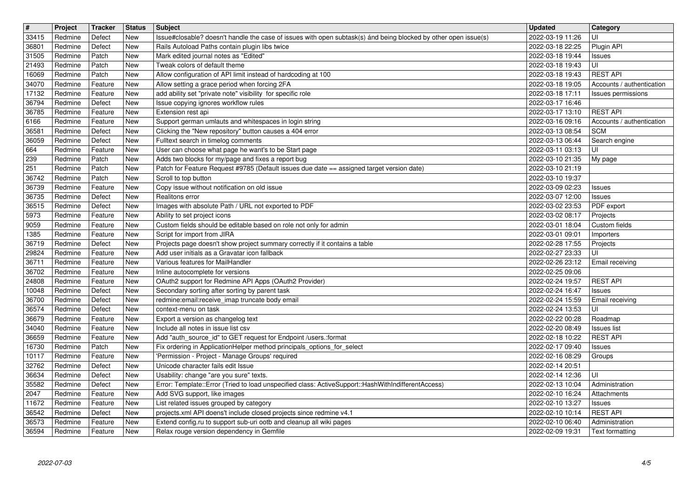| $\overline{\mathbf{H}}$ | Project            | Tracker            | <b>Status</b>     | <b>Subject</b>                                                                                                                                                    | <b>Updated</b>                                   | <b>Category</b>                                 |
|-------------------------|--------------------|--------------------|-------------------|-------------------------------------------------------------------------------------------------------------------------------------------------------------------|--------------------------------------------------|-------------------------------------------------|
| 33415                   | Redmine<br>Redmine | Defect<br>Defect   | New<br>New        | Issue#closable? doesn't handle the case of issues with open subtask(s) ánd being blocked by other open issue(s)<br>Rails Autoload Paths contain plugin libs twice | 2022-03-19 11:26<br>2022-03-18 22:25             | UI<br>Plugin API                                |
| 36801<br>31505          | Redmine            | Patch              | New               | Mark edited journal notes as "Edited"                                                                                                                             | 2022-03-18 19:44                                 | Issues                                          |
| 21493                   | Redmine            | Patch              | <b>New</b>        | Tweak colors of default theme                                                                                                                                     | 2022-03-18 19:43                                 | UI                                              |
| 16069                   | Redmine            | Patch              | New               | Allow configuration of API limit instead of hardcoding at 100                                                                                                     | 2022-03-18 19:43                                 | <b>REST API</b>                                 |
| 34070<br>17132          | Redmine<br>Redmine | Feature<br>Feature | New<br>New        | Allow setting a grace period when forcing 2FA<br>add ability set "private note" visibility for specific role                                                      | 2022-03-18 19:05<br>2022-03-18 17:11             | Accounts / authentication<br>Issues permissions |
| 36794                   | Redmine            | Defect             | New               | Issue copying ignores workflow rules                                                                                                                              | 2022-03-17 16:46                                 |                                                 |
| 36785                   | Redmine            | Feature            | New               | Extension rest api                                                                                                                                                | 2022-03-17 13:10                                 | <b>REST API</b>                                 |
| 6166<br>36581           | Redmine<br>Redmine | Feature<br>Defect  | New<br>New        | Support german umlauts and whitespaces in login string<br>Clicking the "New repository" button causes a 404 error                                                 | 2022-03-16 09:16<br>2022-03-13 08:54             | Accounts / authentication<br><b>SCM</b>         |
| 36059                   | Redmine            | Defect             | New               | Fulltext search in timelog comments                                                                                                                               | 2022-03-13 06:44                                 | Search engine                                   |
| 664                     | Redmine            | Feature            | New               | User can choose what page he want's to be Start page                                                                                                              | 2022-03-11 03:13                                 | UI                                              |
| 239<br>251              | Redmine<br>Redmine | Patch<br>Patch     | New<br>New        | Adds two blocks for my/page and fixes a report bug<br>Patch for Feature Request #9785 (Default issues due date == assigned target version date)                   | 2022-03-10 21:35<br>2022-03-10 21:19             | My page                                         |
| 36742                   | Redmine            | Patch              | New               | Scroll to top button                                                                                                                                              | 2022-03-10 19:37                                 |                                                 |
| 36739                   | Redmine            | Feature            | New               | Copy issue without notification on old issue                                                                                                                      | 2022-03-09 02:23                                 | Issues                                          |
| 36735                   | Redmine            | Defect             | New               | Realitons error                                                                                                                                                   | 2022-03-07 12:00                                 | Issues<br>PDF export                            |
| 36515<br>5973           | Redmine<br>Redmine | Defect<br>Feature  | New<br>New        | Images with absolute Path / URL not exported to PDF<br>Ability to set project icons                                                                               | 2022-03-02 23:53<br>2022-03-02 08:17             | Projects                                        |
| 9059                    | Redmine            | Feature            | New               | Custom fields should be editable based on role not only for admin                                                                                                 | 2022-03-01 18:04                                 | Custom fields                                   |
| 1385                    | Redmine            | Feature            | New               | Script for import from JIRA                                                                                                                                       | 2022-03-01 09:01                                 | Importers                                       |
| 36719<br>29824          | Redmine<br>Redmine | Defect<br>Feature  | <b>New</b><br>New | Projects page doesn't show project summary correctly if it contains a table<br>Add user initials as a Gravatar icon fallback                                      | 2022-02-28 17:55<br>2022-02-27 23:33             | Projects<br>UI                                  |
| 36711                   | Redmine            | Feature            | New               | Various features for MailHandler                                                                                                                                  | 2022-02-26 23:12                                 | Email receiving                                 |
| 36702                   | Redmine            | Feature            | New               | Inline autocomplete for versions                                                                                                                                  | 2022-02-25 09:06                                 |                                                 |
| 24808<br>10048          | Redmine<br>Redmine | Feature<br>Defect  | New<br>New        | OAuth2 support for Redmine API Apps (OAuth2 Provider)<br>Secondary sorting after sorting by parent task                                                           | 2022-02-24 19:57<br>2022-02-24 16:47             | <b>REST API</b><br><b>Issues</b>                |
| 36700                   | Redmine            | Defect             | New               | redmine:email:receive_imap truncate body email                                                                                                                    | 2022-02-24 15:59                                 | Email receiving                                 |
| 36574                   | Redmine            | Defect             | New               | context-menu on task                                                                                                                                              | 2022-02-24 13:53                                 | UI                                              |
| 36679<br>34040          | Redmine<br>Redmine | Feature<br>Feature | New<br><b>New</b> | Export a version as changelog text<br>Include all notes in issue list csv                                                                                         | 2022-02-22 00:28<br>2022-02-20 08:49             | Roadmap<br><b>Issues</b> list                   |
| 36659                   | Redmine            | Feature            | New               | Add "auth_source_id" to GET request for Endpoint /users.:format                                                                                                   | 2022-02-18 10:22                                 | <b>REST API</b>                                 |
| 16730                   | Redmine            | Patch              | New               | Fix ordering in ApplicationHelper method principals_options_for_select                                                                                            | 2022-02-17 09:40                                 | Issues                                          |
| 10117<br>32762          | Redmine<br>Redmine | Feature<br>Defect  | <b>New</b><br>New | 'Permission - Project - Manage Groups' required<br>Unicode character fails edit Issue                                                                             | 2022-02-16 08:29<br>2022-02-14 20:51             | Groups                                          |
| 36634                   | Redmine            | Defect             | <b>New</b>        | Usability: change "are you sure" texts.                                                                                                                           | 2022-02-14 12:36                                 | UI                                              |
| 35582<br>2047           | Redmine<br>Redmine | Defect<br>Feature  | New<br>New        | Error: Template::Error (Tried to load unspecified class: ActiveSupport::HashWithIndifferentAccess)<br>Add SVG support, like images                                | 2022-02-13 10:04<br>2022-02-10 16:24 Attachments | Administration                                  |
| 11672                   | Redmine            | Feature            | <b>New</b>        | List related issues grouped by category                                                                                                                           | 2022-02-10 13:27                                 | Issues                                          |
| 36542                   | Redmine            | Defect             | New<br><b>New</b> | projects.xml API doens't include closed projects since redmine v4.1                                                                                               | 2022-02-10 10:14                                 | <b>REST API</b>                                 |
| 36573<br>36594          | Redmine<br>Redmine | Feature<br>Feature | New               | Extend config.ru to support sub-uri ootb and cleanup all wiki pages<br>Relax rouge version dependency in Gemfile                                                  | 2022-02-10 06:40<br>2022-02-09 19:31             | Administration<br>Text formatting               |
|                         |                    |                    |                   |                                                                                                                                                                   |                                                  |                                                 |
|                         |                    |                    |                   |                                                                                                                                                                   |                                                  |                                                 |
|                         |                    |                    |                   |                                                                                                                                                                   |                                                  |                                                 |
|                         |                    |                    |                   |                                                                                                                                                                   |                                                  |                                                 |
|                         |                    |                    |                   |                                                                                                                                                                   |                                                  |                                                 |
|                         |                    |                    |                   |                                                                                                                                                                   |                                                  |                                                 |
|                         |                    |                    |                   |                                                                                                                                                                   |                                                  |                                                 |
|                         |                    |                    |                   |                                                                                                                                                                   |                                                  |                                                 |
|                         |                    |                    |                   |                                                                                                                                                                   |                                                  |                                                 |
|                         |                    |                    |                   |                                                                                                                                                                   |                                                  |                                                 |
|                         |                    |                    |                   |                                                                                                                                                                   |                                                  |                                                 |
|                         |                    |                    |                   |                                                                                                                                                                   |                                                  |                                                 |
|                         |                    |                    |                   |                                                                                                                                                                   |                                                  |                                                 |
|                         |                    |                    |                   |                                                                                                                                                                   |                                                  |                                                 |
|                         |                    |                    |                   |                                                                                                                                                                   |                                                  |                                                 |
|                         |                    |                    |                   |                                                                                                                                                                   |                                                  |                                                 |
|                         |                    |                    |                   |                                                                                                                                                                   |                                                  |                                                 |
|                         |                    |                    |                   |                                                                                                                                                                   |                                                  |                                                 |
|                         |                    |                    |                   |                                                                                                                                                                   |                                                  |                                                 |